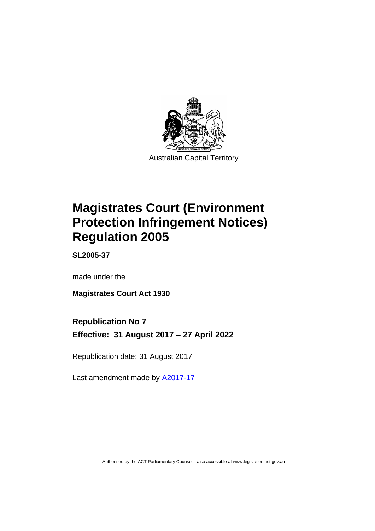

# **Magistrates Court (Environment Protection Infringement Notices) Regulation 2005**

**SL2005-37**

made under the

**Magistrates Court Act 1930**

# **Republication No 7 Effective: 31 August 2017 – 27 April 2022**

Republication date: 31 August 2017

Last amendment made by [A2017-17](http://www.legislation.act.gov.au/a/2017-17/default.asp)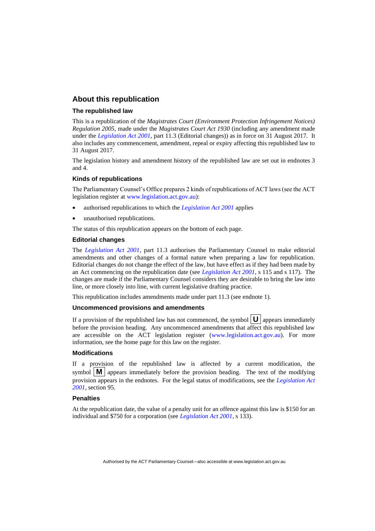### **About this republication**

### **The republished law**

This is a republication of the *Magistrates Court (Environment Protection Infringement Notices) Regulation 2005*, made under the *Magistrates Court Act 1930* (including any amendment made under the *[Legislation Act 2001](http://www.legislation.act.gov.au/a/2001-14)*, part 11.3 (Editorial changes)) as in force on 31 August 2017*.* It also includes any commencement, amendment, repeal or expiry affecting this republished law to 31 August 2017.

The legislation history and amendment history of the republished law are set out in endnotes 3 and 4.

### **Kinds of republications**

The Parliamentary Counsel's Office prepares 2 kinds of republications of ACT laws (see the ACT legislation register at [www.legislation.act.gov.au\)](http://www.legislation.act.gov.au/):

- authorised republications to which the *[Legislation Act 2001](http://www.legislation.act.gov.au/a/2001-14)* applies
- unauthorised republications.

The status of this republication appears on the bottom of each page.

#### **Editorial changes**

The *[Legislation Act 2001](http://www.legislation.act.gov.au/a/2001-14)*, part 11.3 authorises the Parliamentary Counsel to make editorial amendments and other changes of a formal nature when preparing a law for republication. Editorial changes do not change the effect of the law, but have effect as if they had been made by an Act commencing on the republication date (see *[Legislation Act 2001](http://www.legislation.act.gov.au/a/2001-14)*, s 115 and s 117). The changes are made if the Parliamentary Counsel considers they are desirable to bring the law into line, or more closely into line, with current legislative drafting practice.

This republication includes amendments made under part 11.3 (see endnote 1).

### **Uncommenced provisions and amendments**

If a provision of the republished law has not commenced, the symbol  $|\mathbf{U}|$  appears immediately before the provision heading. Any uncommenced amendments that affect this republished law are accessible on the ACT legislation register [\(www.legislation.act.gov.au\)](http://www.legislation.act.gov.au/). For more information, see the home page for this law on the register.

#### **Modifications**

If a provision of the republished law is affected by a current modification, the symbol  $\mathbf{M}$  appears immediately before the provision heading. The text of the modifying provision appears in the endnotes. For the legal status of modifications, see the *[Legislation Act](http://www.legislation.act.gov.au/a/2001-14)  [2001](http://www.legislation.act.gov.au/a/2001-14)*, section 95.

### **Penalties**

At the republication date, the value of a penalty unit for an offence against this law is \$150 for an individual and \$750 for a corporation (see *[Legislation Act 2001](http://www.legislation.act.gov.au/a/2001-14)*, s 133).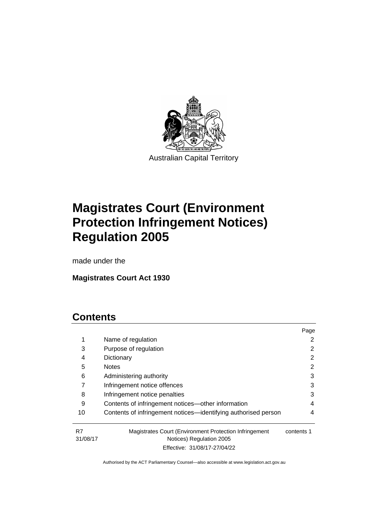

# **Magistrates Court (Environment Protection Infringement Notices) Regulation 2005**

made under the

**Magistrates Court Act 1930**

# **Contents**

|          |                                                                | Page       |
|----------|----------------------------------------------------------------|------------|
| 1        | Name of regulation                                             | 2          |
| 3        | Purpose of regulation                                          | 2          |
| 4        | Dictionary                                                     | 2          |
| 5        | <b>Notes</b>                                                   | 2          |
| 6        | Administering authority                                        | 3          |
| 7        | Infringement notice offences                                   | 3          |
| 8        | Infringement notice penalties                                  | 3          |
| 9        | Contents of infringement notices-other information             | 4          |
| 10       | Contents of infringement notices—identifying authorised person | 4          |
| R7       | Magistrates Court (Environment Protection Infringement         | contents 1 |
| 31/08/17 | Notices) Regulation 2005<br>Effective: 31/08/17-27/04/22       |            |
|          |                                                                |            |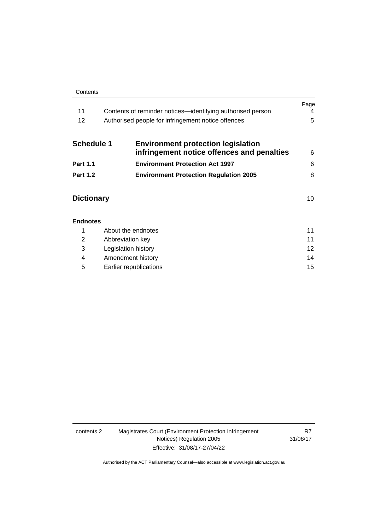#### **Contents**

| 11<br>12          | Contents of reminder notices—identifying authorised person<br>Authorised people for infringement notice offences | Page<br>4<br>5 |
|-------------------|------------------------------------------------------------------------------------------------------------------|----------------|
| <b>Schedule 1</b> | <b>Environment protection legislation</b><br>infringement notice offences and penalties                          | 6              |
| <b>Part 1.1</b>   | <b>Environment Protection Act 1997</b>                                                                           | 6              |
| <b>Part 1.2</b>   | <b>Environment Protection Regulation 2005</b>                                                                    | 8              |
| <b>Dictionary</b> |                                                                                                                  | 10             |

### **[Endnotes](#page-14-0)**

|    | About the endnotes     | 11 |
|----|------------------------|----|
| 2  | Abbreviation key       | 11 |
| -3 | Legislation history    | 12 |
| 4  | Amendment history      | 14 |
| 5  | Earlier republications | 15 |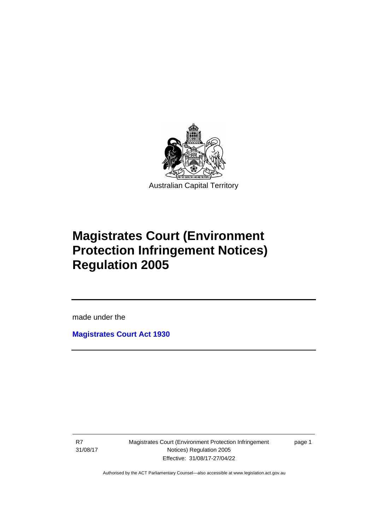

# **Magistrates Court (Environment Protection Infringement Notices) Regulation 2005**

made under the

**[Magistrates Court Act](http://www.legislation.act.gov.au/a/1930-21) 1930**

R7 31/08/17

֡֡֡

Magistrates Court (Environment Protection Infringement Notices) Regulation 2005 Effective: 31/08/17-27/04/22

page 1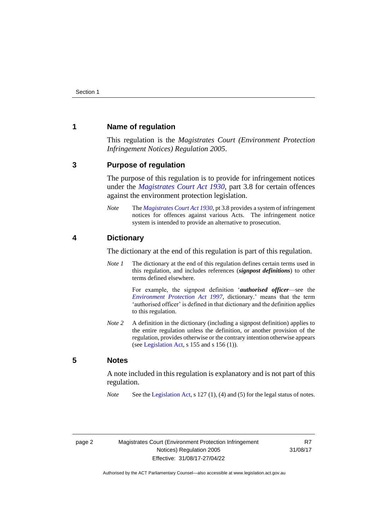# <span id="page-5-0"></span>**1 Name of regulation**

This regulation is the *Magistrates Court (Environment Protection Infringement Notices) Regulation 2005*.

### <span id="page-5-1"></span>**3 Purpose of regulation**

The purpose of this regulation is to provide for infringement notices under the *[Magistrates Court Act 1930](http://www.legislation.act.gov.au/a/1930-21)*, part 3.8 for certain offences against the environment protection legislation.

*Note* The *[Magistrates Court Act 1930](http://www.legislation.act.gov.au/a/1930-21)*, pt 3.8 provides a system of infringement notices for offences against various Acts. The infringement notice system is intended to provide an alternative to prosecution.

# <span id="page-5-2"></span>**4 Dictionary**

The dictionary at the end of this regulation is part of this regulation.

*Note 1* The dictionary at the end of this regulation defines certain terms used in this regulation, and includes references (*signpost definitions*) to other terms defined elsewhere.

> For example, the signpost definition '*authorised officer*—see the *[Environment Protection Act 1997](http://www.legislation.act.gov.au/a/1997-92)*, dictionary.' means that the term 'authorised officer' is defined in that dictionary and the definition applies to this regulation.

*Note 2* A definition in the dictionary (including a signpost definition) applies to the entire regulation unless the definition, or another provision of the regulation, provides otherwise or the contrary intention otherwise appears (se[e Legislation Act,](http://www.legislation.act.gov.au/a/2001-14) s  $155$  and s  $156$  (1)).

# <span id="page-5-3"></span>**5 Notes**

A note included in this regulation is explanatory and is not part of this regulation.

*Note* See the [Legislation Act,](http://www.legislation.act.gov.au/a/2001-14) s 127 (1), (4) and (5) for the legal status of notes.

R7 31/08/17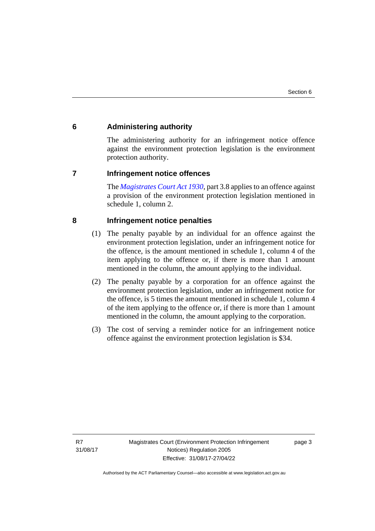# <span id="page-6-0"></span>**6 Administering authority**

The administering authority for an infringement notice offence against the environment protection legislation is the environment protection authority.

# <span id="page-6-1"></span>**7 Infringement notice offences**

The *[Magistrates Court Act 1930](http://www.legislation.act.gov.au/a/1930-21)*, part 3.8 applies to an offence against a provision of the environment protection legislation mentioned in schedule 1, column 2.

# <span id="page-6-2"></span>**8 Infringement notice penalties**

- (1) The penalty payable by an individual for an offence against the environment protection legislation, under an infringement notice for the offence, is the amount mentioned in schedule 1, column 4 of the item applying to the offence or, if there is more than 1 amount mentioned in the column, the amount applying to the individual.
- (2) The penalty payable by a corporation for an offence against the environment protection legislation, under an infringement notice for the offence, is 5 times the amount mentioned in schedule 1, column 4 of the item applying to the offence or, if there is more than 1 amount mentioned in the column, the amount applying to the corporation.
- (3) The cost of serving a reminder notice for an infringement notice offence against the environment protection legislation is \$34.

page 3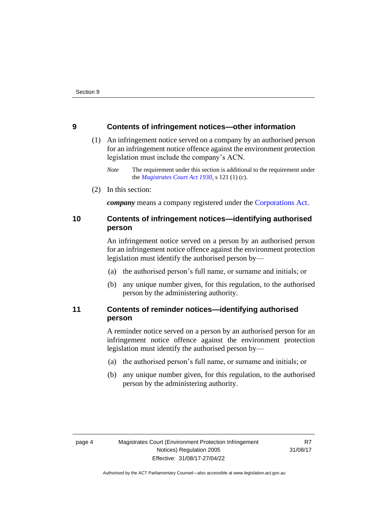# <span id="page-7-0"></span>**9 Contents of infringement notices—other information**

- (1) An infringement notice served on a company by an authorised person for an infringement notice offence against the environment protection legislation must include the company's ACN.
	- *Note* The requirement under this section is additional to the requirement under the *[Magistrates Court Act 1930](http://www.legislation.act.gov.au/a/1930-21)*, s 121 (1) (c).
- (2) In this section:

*company* means a company registered under the [Corporations Act.](http://www.comlaw.gov.au/Series/C2004A00818)

# <span id="page-7-1"></span>**10 Contents of infringement notices—identifying authorised person**

An infringement notice served on a person by an authorised person for an infringement notice offence against the environment protection legislation must identify the authorised person by—

- (a) the authorised person's full name, or surname and initials; or
- (b) any unique number given, for this regulation, to the authorised person by the administering authority.

# <span id="page-7-2"></span>**11 Contents of reminder notices—identifying authorised person**

A reminder notice served on a person by an authorised person for an infringement notice offence against the environment protection legislation must identify the authorised person by—

- (a) the authorised person's full name, or surname and initials; or
- (b) any unique number given, for this regulation, to the authorised person by the administering authority.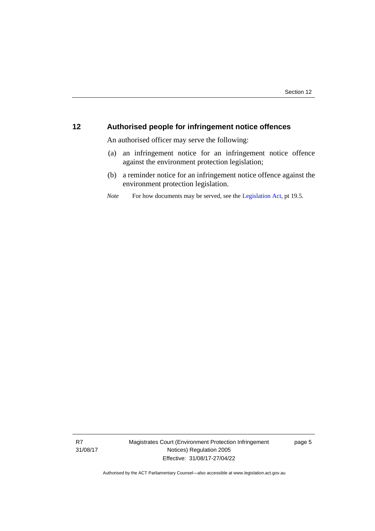# <span id="page-8-0"></span>**12 Authorised people for infringement notice offences**

An authorised officer may serve the following:

- (a) an infringement notice for an infringement notice offence against the environment protection legislation;
- (b) a reminder notice for an infringement notice offence against the environment protection legislation.
- *Note* For how documents may be served, see th[e Legislation Act,](http://www.legislation.act.gov.au/a/2001-14) pt 19.5.

page 5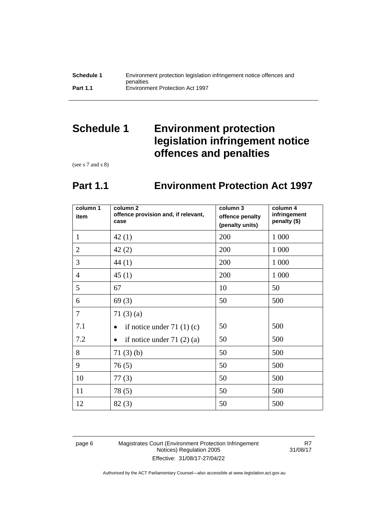# <span id="page-9-0"></span>**Schedule 1 Environment protection legislation infringement notice offences and penalties**

<span id="page-9-1"></span>(see s 7 and s 8)

# **Part 1.1 Environment Protection Act 1997**

| column 1<br>item | column <sub>2</sub><br>offence provision and, if relevant,<br>case | column 3<br>offence penalty<br>(penalty units) | column 4<br>infringement<br>penalty (\$) |
|------------------|--------------------------------------------------------------------|------------------------------------------------|------------------------------------------|
| $\mathbf{1}$     | 42(1)                                                              | 200                                            | 1 0 0 0                                  |
| $\overline{2}$   | 42(2)                                                              | 200                                            | 1 0 0 0                                  |
| 3                | 44(1)                                                              | 200                                            | 1 000                                    |
| $\overline{4}$   | 45(1)                                                              | 200                                            | 1 0 0 0                                  |
| 5                | 67                                                                 | 10                                             | 50                                       |
| 6                | 69(3)                                                              | 50                                             | 500                                      |
| 7                | 71 $(3)$ $(a)$                                                     |                                                |                                          |
| 7.1              | if notice under 71 $(1)(c)$                                        | 50                                             | 500                                      |
| 7.2              | if notice under $71(2)(a)$                                         | 50                                             | 500                                      |
| 8                | 71(3)(b)                                                           | 50                                             | 500                                      |
| 9                | 76(5)                                                              | 50                                             | 500                                      |
| 10               | 77(3)                                                              | 50                                             | 500                                      |
| 11               | 78(5)                                                              | 50                                             | 500                                      |
| 12               | 82(3)                                                              | 50                                             | 500                                      |

page 6 Magistrates Court (Environment Protection Infringement Notices) Regulation 2005 Effective: 31/08/17-27/04/22

R7 31/08/17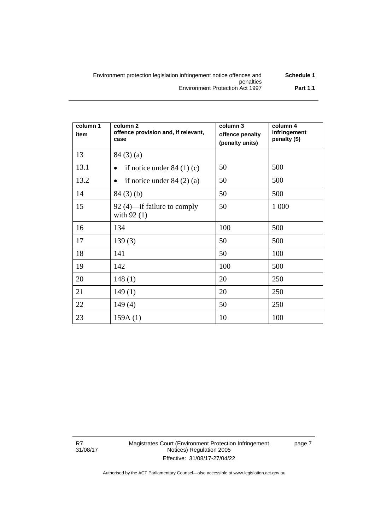| Environment protection legislation infringement notice offences and | Schedule 1      |
|---------------------------------------------------------------------|-----------------|
| penalties                                                           |                 |
| Environment Protection Act 1997                                     | <b>Part 1.1</b> |

| column 1<br>item | column 2<br>offence provision and, if relevant,<br>case | column 3<br>offence penalty<br>(penalty units) | column 4<br>infringement<br>penalty (\$) |
|------------------|---------------------------------------------------------|------------------------------------------------|------------------------------------------|
| 13               | 84(3)(a)                                                |                                                |                                          |
| 13.1             | if notice under $84(1)(c)$                              | 50                                             | 500                                      |
| 13.2             | if notice under $84(2)(a)$<br>٠                         | 50                                             | 500                                      |
| 14               | $84(3)$ (b)                                             | 50                                             | 500                                      |
| 15               | 92 (4)—if failure to comply<br>with $92(1)$             | 50                                             | 1 000                                    |
| 16               | 134                                                     | 100                                            | 500                                      |
| 17               | 139(3)                                                  | 50                                             | 500                                      |
| 18               | 141                                                     | 50                                             | 100                                      |
| 19               | 142                                                     | 100                                            | 500                                      |
| 20               | 148(1)                                                  | 20                                             | 250                                      |
| 21               | 149(1)                                                  | 20                                             | 250                                      |
| 22               | 149(4)                                                  | 50                                             | 250                                      |
| 23               | 159A(1)                                                 | 10                                             | 100                                      |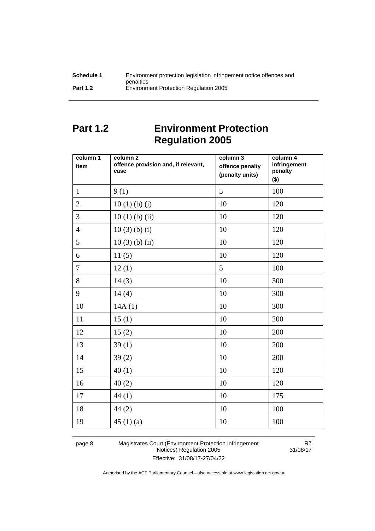| Schedule 1      | Environment protection legislation infringement notice offences and |
|-----------------|---------------------------------------------------------------------|
|                 | penalties                                                           |
| <b>Part 1.2</b> | Environment Protection Regulation 2005                              |

# <span id="page-11-0"></span>**Part 1.2 Environment Protection Regulation 2005**

| column 1<br>item | column 2<br>offence provision and, if relevant,<br>case | column 3<br>offence penalty<br>(penalty units) | column 4<br>infringement<br>penalty<br>$($ \$) |
|------------------|---------------------------------------------------------|------------------------------------------------|------------------------------------------------|
| $\mathbf{1}$     | 9(1)                                                    | 5                                              | 100                                            |
| $\overline{2}$   | 10(1)(b)(i)                                             | 10                                             | 120                                            |
| 3                | $10(1)$ (b) (ii)                                        | 10                                             | 120                                            |
| $\overline{4}$   | $10(3)$ (b) (i)                                         | 10                                             | 120                                            |
| 5                | $10(3)$ (b) (ii)                                        | 10                                             | 120                                            |
| 6                | 11(5)                                                   | 10                                             | 120                                            |
| $\tau$           | 12(1)                                                   | 5                                              | 100                                            |
| 8                | 14(3)                                                   | 10                                             | 300                                            |
| 9                | 14(4)                                                   | 10                                             | 300                                            |
| 10               | 14A(1)                                                  | 10                                             | 300                                            |
| 11               | 15(1)                                                   | 10                                             | 200                                            |
| 12               | 15(2)                                                   | 10                                             | 200                                            |
| 13               | 39(1)                                                   | 10                                             | 200                                            |
| 14               | 39(2)                                                   | 10                                             | 200                                            |
| 15               | 40(1)                                                   | 10                                             | 120                                            |
| 16               | 40(2)                                                   | 10                                             | 120                                            |
| 17               | 44(1)                                                   | 10                                             | 175                                            |
| 18               | 44(2)                                                   | 10                                             | 100                                            |
| 19               | 45 $(1)(a)$                                             | 10                                             | 100                                            |

page 8 Magistrates Court (Environment Protection Infringement Notices) Regulation 2005 Effective: 31/08/17-27/04/22

R7 31/08/17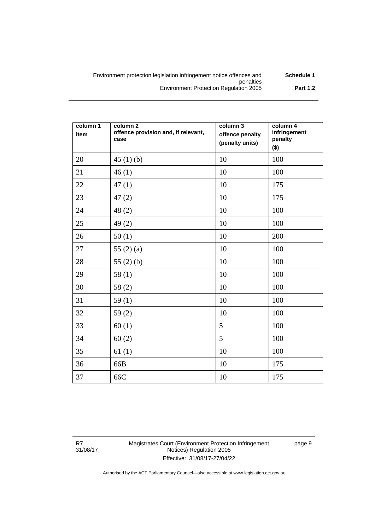| Environment protection legislation infringement notice offences and | Schedule 1      |
|---------------------------------------------------------------------|-----------------|
| penalties                                                           |                 |
| <b>Environment Protection Regulation 2005</b>                       | <b>Part 1.2</b> |

| column 1<br>item | column <sub>2</sub><br>offence provision and, if relevant,<br>case | column 3<br>offence penalty<br>(penalty units) | column 4<br>infringement<br>penalty<br>$($ \$) |
|------------------|--------------------------------------------------------------------|------------------------------------------------|------------------------------------------------|
| 20               | 45(1)(b)                                                           | 10                                             | 100                                            |
| 21               | 46(1)                                                              | 10                                             | 100                                            |
| 22               | 47(1)                                                              | 10                                             | 175                                            |
| 23               | 47(2)                                                              | 10                                             | 175                                            |
| 24               | 48(2)                                                              | 10                                             | 100                                            |
| 25               | 49(2)                                                              | 10                                             | 100                                            |
| 26               | 50(1)                                                              | 10                                             | 200                                            |
| 27               | 55 $(2)$ $(a)$                                                     | 10                                             | 100                                            |
| 28               | 55 $(2)$ $(b)$                                                     | 10                                             | 100                                            |
| 29               | 58(1)                                                              | 10                                             | 100                                            |
| 30               | 58(2)                                                              | 10                                             | 100                                            |
| 31               | 59(1)                                                              | 10                                             | 100                                            |
| 32               | 59(2)                                                              | 10                                             | 100                                            |
| 33               | 60(1)                                                              | 5                                              | 100                                            |
| 34               | 60(2)                                                              | 5                                              | 100                                            |
| 35               | 61(1)                                                              | 10                                             | 100                                            |
| 36               | 66B                                                                | 10                                             | 175                                            |
| 37               | 66C                                                                | 10                                             | 175                                            |

R7 31/08/17 page 9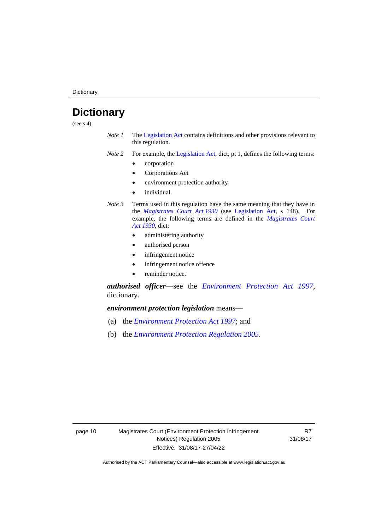**Dictionary** 

# <span id="page-13-0"></span>**Dictionary**

(see  $s$  4)

- *Note 1* The [Legislation Act](http://www.legislation.act.gov.au/a/2001-14) contains definitions and other provisions relevant to this regulation.
- *Note 2* For example, the [Legislation Act,](http://www.legislation.act.gov.au/a/2001-14) dict, pt 1, defines the following terms:
	- corporation
	- Corporations Act
	- environment protection authority
	- individual.
- *Note 3* Terms used in this regulation have the same meaning that they have in the *[Magistrates Court Act](http://www.legislation.act.gov.au/a/1930-21) 1930* (see [Legislation Act,](http://www.legislation.act.gov.au/a/2001-14) s 148). For example, the following terms are defined in the *[Magistrates Court](http://www.legislation.act.gov.au/a/1930-21)  Act [1930](http://www.legislation.act.gov.au/a/1930-21)*, dict:
	- administering authority
	- authorised person
	- infringement notice
	- infringement notice offence
	- reminder notice.

*authorised officer*—see the *[Environment Protection Act 1997](http://www.legislation.act.gov.au/a/1997-92)*, dictionary.

*environment protection legislation* means—

- (a) the *[Environment Protection Act 1997](http://www.legislation.act.gov.au/a/1997-92)*; and
- (b) the *[Environment Protection Regulation 2005](http://www.legislation.act.gov.au/sl/2005-38)*.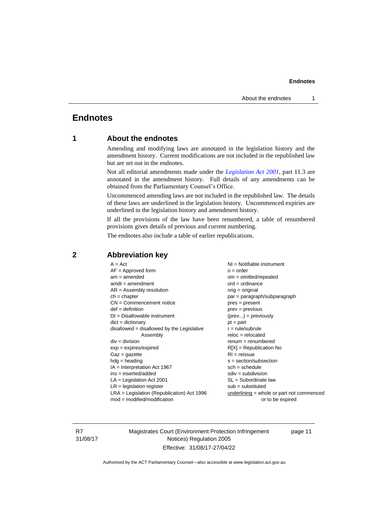# <span id="page-14-1"></span><span id="page-14-0"></span>**Endnotes**

# **1 About the endnotes**

Amending and modifying laws are annotated in the legislation history and the amendment history. Current modifications are not included in the republished law but are set out in the endnotes.

Not all editorial amendments made under the *[Legislation Act 2001](http://www.legislation.act.gov.au/a/2001-14)*, part 11.3 are annotated in the amendment history. Full details of any amendments can be obtained from the Parliamentary Counsel's Office.

Uncommenced amending laws are not included in the republished law. The details of these laws are underlined in the legislation history. Uncommenced expiries are underlined in the legislation history and amendment history.

If all the provisions of the law have been renumbered, a table of renumbered provisions gives details of previous and current numbering.

The endnotes also include a table of earlier republications.

| $A = Act$                                    | $NI =$ Notifiable instrument                |
|----------------------------------------------|---------------------------------------------|
| $AF =$ Approved form                         | $o = order$                                 |
| $am = amended$                               | $om = omitted/repealed$                     |
| $amdt = amendment$                           | $ord = ordinance$                           |
| $AR = Assembly resolution$                   | $orig = original$                           |
| $ch = chapter$                               | par = paragraph/subparagraph                |
| $CN =$ Commencement notice                   | $pres = present$                            |
| $def = definition$                           | $prev = previous$                           |
| $DI = Disallowable instrument$               | $(\text{prev}) = \text{previously}$         |
| $dict = dictionary$                          | $pt = part$                                 |
| disallowed = disallowed by the Legislative   | $r = rule/subrule$                          |
| Assembly                                     | $reloc = relocated$                         |
| $div = division$                             | $remum = renumbered$                        |
| $exp = expires/expired$                      | $R[X]$ = Republication No                   |
| $Gaz = gazette$                              | $RI = reissue$                              |
| $h dq =$ heading                             | $s = section/subsection$                    |
| $IA = Interpretation Act 1967$               | $sch = schedule$                            |
| ins = inserted/added                         | $sdiv = subdivision$                        |
| $LA =$ Legislation Act 2001                  | $SL = Subordinate$ law                      |
| $LR =$ legislation register                  | $sub =$ substituted                         |
| $LRA =$ Legislation (Republication) Act 1996 | $underlining = whole or part not commenced$ |
| $mod = modified/modification$                | or to be expired                            |
|                                              |                                             |

# <span id="page-14-2"></span>**2 Abbreviation key**

R7 31/08/17 Magistrates Court (Environment Protection Infringement Notices) Regulation 2005 Effective: 31/08/17-27/04/22

page 11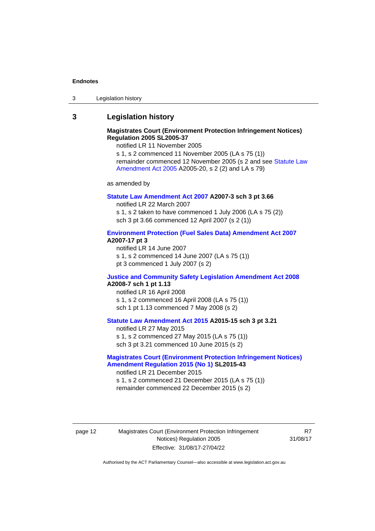| 3 | Legislation history |  |
|---|---------------------|--|
|---|---------------------|--|

### <span id="page-15-0"></span>**3 Legislation history**

### **Magistrates Court (Environment Protection Infringement Notices) Regulation 2005 SL2005-37**

notified LR 11 November 2005

s 1, s 2 commenced 11 November 2005 (LA s 75 (1)) remainder commenced 12 November 2005 (s 2 and see [Statute Law](http://www.legislation.act.gov.au/a/2005-20)  [Amendment Act 2005](http://www.legislation.act.gov.au/a/2005-20) A2005-20, s 2 (2) and LA s 79)

as amended by

#### **[Statute Law Amendment Act 2007](http://www.legislation.act.gov.au/a/2007-3) A2007-3 sch 3 pt 3.66**

notified LR 22 March 2007 s 1, s 2 taken to have commenced 1 July 2006 (LA s 75 (2)) sch 3 pt 3.66 commenced 12 April 2007 (s 2 (1))

### **[Environment Protection \(Fuel Sales Data\) Amendment Act 2007](http://www.legislation.act.gov.au/a/2007-17) A2007-17 pt 3**

notified LR 14 June 2007 s 1, s 2 commenced 14 June 2007 (LA s 75 (1)) pt 3 commenced 1 July 2007 (s 2)

### **[Justice and Community Safety Legislation Amendment Act 2008](http://www.legislation.act.gov.au/a/2008-7) A2008-7 sch 1 pt 1.13**

notified LR 16 April 2008 s 1, s 2 commenced 16 April 2008 (LA s 75 (1)) sch 1 pt 1.13 commenced 7 May 2008 (s 2)

### **[Statute Law Amendment Act 2015](http://www.legislation.act.gov.au/a/2015-15) A2015-15 sch 3 pt 3.21**

notified LR 27 May 2015 s 1, s 2 commenced 27 May 2015 (LA s 75 (1)) sch 3 pt 3.21 commenced 10 June 2015 (s 2)

### **[Magistrates Court \(Environment Protection Infringement Notices\)](http://www.legislation.act.gov.au/sl/2015-43)  [Amendment Regulation 2015 \(No 1\)](http://www.legislation.act.gov.au/sl/2015-43) SL2015-43**

notified LR 21 December 2015 s 1, s 2 commenced 21 December 2015 (LA s 75 (1)) remainder commenced 22 December 2015 (s 2)

page 12 Magistrates Court (Environment Protection Infringement Notices) Regulation 2005 Effective: 31/08/17-27/04/22

R7 31/08/17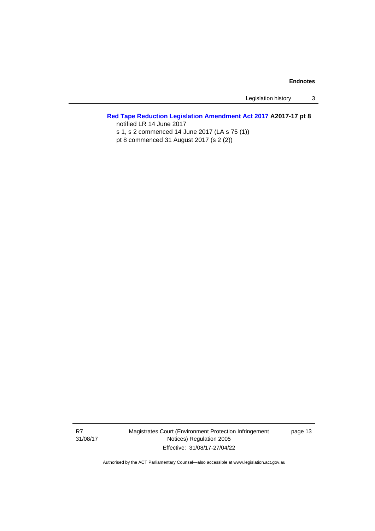Legislation history 3

# **[Red Tape Reduction Legislation Amendment Act 2017](http://www.legislation.act.gov.au/a/2017-17%20/default.asp) A2017-17 pt 8**

notified LR 14 June 2017 s 1, s 2 commenced 14 June 2017 (LA s 75 (1)) pt 8 commenced 31 August 2017 (s 2 (2))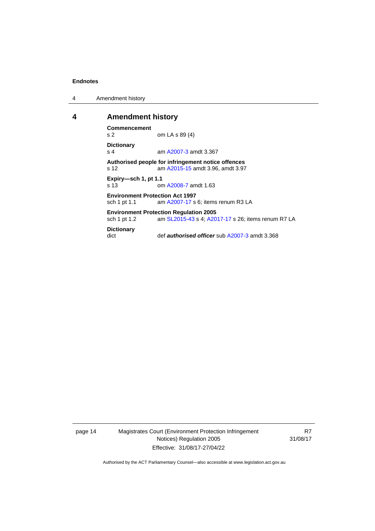4 Amendment history

### <span id="page-17-0"></span>**4 Amendment history**

**Commencement** om LA s 89 (4) **Dictionary** s 4 **am [A2007-3](http://www.legislation.act.gov.au/a/2007-3) amdt 3.367 Authorised people for infringement notice offences** am [A2015-15](http://www.legislation.act.gov.au/a/2015-15) amdt 3.96, amdt 3.97 **Expiry—sch 1, pt 1.1** s 13 om [A2008-7](http://www.legislation.act.gov.au/a/2008-7) amdt 1.63 **Environment Protection Act 1997**<br>sch 1 pt 1.1 am A2007-17 s am [A2007-17](http://www.legislation.act.gov.au/a/2007-17) s 6; items renum R3 LA **Environment Protection Regulation 2005** sch 1 pt 1.2 am [SL2015-43](http://www.legislation.act.gov.au/sl/2015-43) s 4[; A2017-17](http://www.legislation.act.gov.au/a/2017-17/default.asp) s 26; items renum R7 LA **Dictionary**

dict def *authorised officer* su[b A2007-3](http://www.legislation.act.gov.au/a/2007-3) amdt 3.368

page 14 Magistrates Court (Environment Protection Infringement Notices) Regulation 2005 Effective: 31/08/17-27/04/22

R7 31/08/17